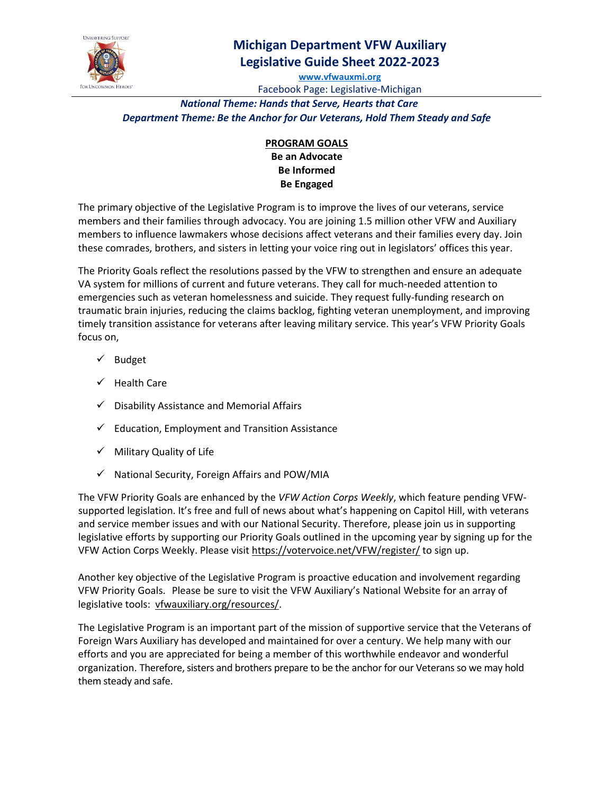

## **Michigan Department VFW Auxiliary Legislative Guide Sheet 2022-2023**

**[www.vfwauxmi.org](http://www.vfwauxmi.org/)** Facebook Page: Legislative-Michigan

*National Theme: Hands that Serve, Hearts that Care Department Theme: Be the Anchor for Our Veterans, Hold Them Steady and Safe*

**PROGRAM GOALS**

**Be an Advocate Be Informed Be Engaged**

The primary objective of the Legislative Program is to improve the lives of our veterans, service members and their families through advocacy. You are joining 1.5 million other VFW and Auxiliary members to influence lawmakers whose decisions affect veterans and their families every day. Join these comrades, brothers, and sisters in letting your voice ring out in legislators' offices this year.

The Priority Goals reflect the resolutions passed by the VFW to strengthen and ensure an adequate VA system for millions of current and future veterans. They call for much-needed attention to emergencies such as veteran homelessness and suicide. They request fully-funding research on traumatic brain injuries, reducing the claims backlog, fighting veteran unemployment, and improving timely transition assistance for veterans after leaving military service. This year's VFW Priority Goals focus on,

- $\checkmark$  Budget
- $\checkmark$  Health Care
- $\checkmark$  Disability Assistance and Memorial Affairs
- $\checkmark$  Education, Employment and Transition Assistance
- $\checkmark$  Military Quality of Life
- $\checkmark$  National Security, Foreign Affairs and POW/MIA

The VFW Priority Goals are enhanced by the *VFW Action Corps Weekly*, which feature pending VFWsupported legislation. It's free and full of news about what's happening on Capitol Hill, with veterans and service member issues and with our National Security. Therefore, please join us in supporting legislative efforts by supporting our Priority Goals outlined in the upcoming year by signing up for the VFW Action Corps Weekly. Please visit [https://votervoice.net/VFW/register/](https://votervoice.net/VFW/register) to sign up.

Another key objective of the Legislative Program is proactive education and involvement regarding VFW Priority Goals. Please be sure to visit the VFW Auxiliary's National Website for an array of legislative tools: [vfwauxiliary.org/resources/.](https://vfwauxiliary.org/resources/)

The Legislative Program is an important part of the mission of supportive service that the Veterans of Foreign Wars Auxiliary has developed and maintained for over a century. We help many with our efforts and you are appreciated for being a member of this worthwhile endeavor and wonderful organization. Therefore, sisters and brothers prepare to be the anchor for our Veterans so we may hold them steady and safe.